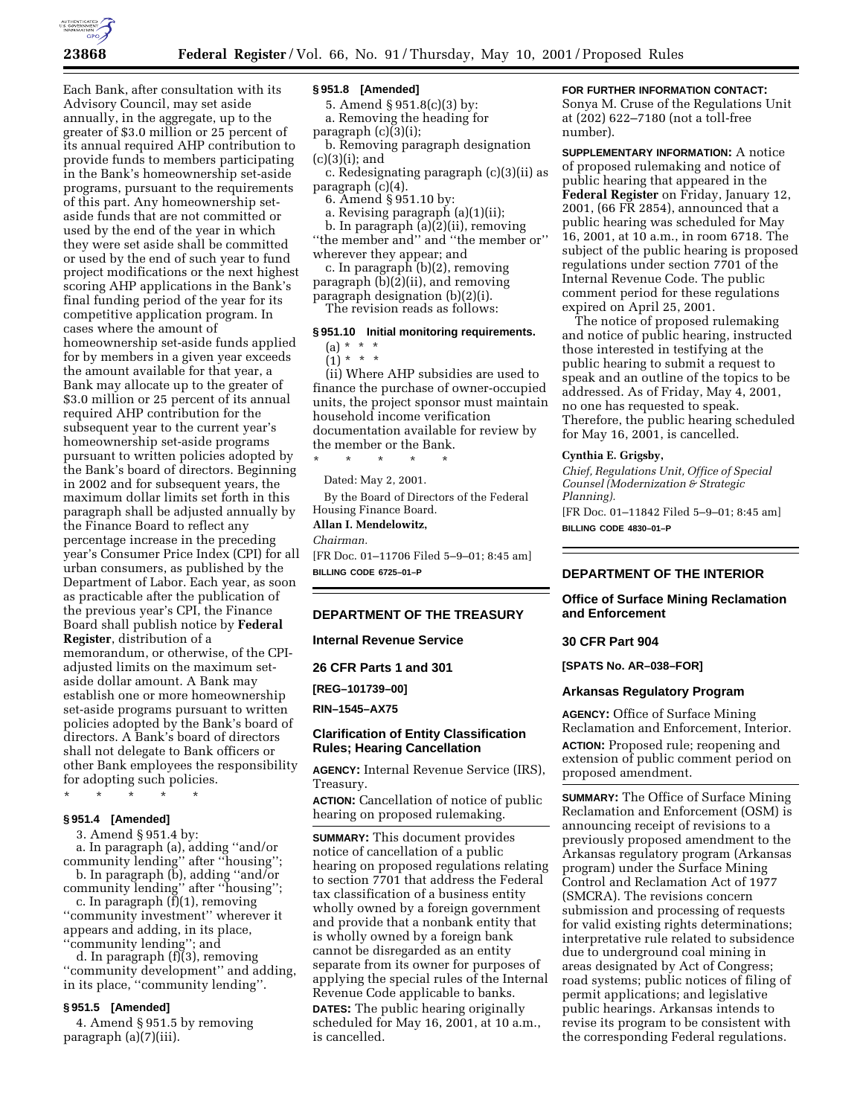

Each Bank, after consultation with its Advisory Council, may set aside annually, in the aggregate, up to the greater of \$3.0 million or 25 percent of its annual required AHP contribution to provide funds to members participating in the Bank's homeownership set-aside programs, pursuant to the requirements of this part. Any homeownership setaside funds that are not committed or used by the end of the year in which they were set aside shall be committed or used by the end of such year to fund project modifications or the next highest scoring AHP applications in the Bank's final funding period of the year for its competitive application program. In cases where the amount of homeownership set-aside funds applied for by members in a given year exceeds the amount available for that year, a Bank may allocate up to the greater of \$3.0 million or 25 percent of its annual required AHP contribution for the subsequent year to the current year's homeownership set-aside programs pursuant to written policies adopted by the Bank's board of directors. Beginning in 2002 and for subsequent years, the maximum dollar limits set forth in this paragraph shall be adjusted annually by the Finance Board to reflect any percentage increase in the preceding year's Consumer Price Index (CPI) for all urban consumers, as published by the Department of Labor. Each year, as soon as practicable after the publication of the previous year's CPI, the Finance Board shall publish notice by **Federal Register**, distribution of a memorandum, or otherwise, of the CPIadjusted limits on the maximum setaside dollar amount. A Bank may establish one or more homeownership set-aside programs pursuant to written policies adopted by the Bank's board of directors. A Bank's board of directors shall not delegate to Bank officers or other Bank employees the responsibility

\* \* \* \* \*

# **§ 951.4 [Amended]**

3. Amend § 951.4 by:

for adopting such policies.

a. In paragraph (a), adding ''and/or community lending'' after ''housing''; b. In paragraph (b), adding ''and/or

community lending'' after ''housing''; c. In paragraph  $(f)(1)$ , removing

''community investment'' wherever it appears and adding, in its place, ''community lending''; and

d. In paragraph (f)(3), removing ''community development'' and adding, in its place, ''community lending''.

#### **§ 951.5 [Amended]**

4. Amend § 951.5 by removing paragraph (a)(7)(iii).

#### **§ 951.8 [Amended]**

5. Amend § 951.8(c)(3) by: a. Removing the heading for

paragraph (c)(3)(i);

b. Removing paragraph designation (c)(3)(i); and

c. Redesignating paragraph (c)(3)(ii) as paragraph (c)(4).

6. Amend § 951.10 by:

a. Revising paragraph (a)(1)(ii);

b. In paragraph  $(a)(2)(ii)$ , removing ''the member and'' and ''the member or''

wherever they appear; and c. In paragraph (b)(2), removing paragraph (b)(2)(ii), and removing paragraph designation (b)(2)(i).

The revision reads as follows:

# **§ 951.10 Initial monitoring requirements.**

# (a) \* \* \*

 $(1) * * * *$ 

(ii) Where AHP subsidies are used to finance the purchase of owner-occupied units, the project sponsor must maintain household income verification documentation available for review by the member or the Bank.

\* \* \* \* \*

Dated: May 2, 2001.

By the Board of Directors of the Federal Housing Finance Board.

#### **Allan I. Mendelowitz,**

*Chairman.* [FR Doc. 01–11706 Filed 5–9–01; 8:45 am]

**BILLING CODE 6725–01–P**

### **DEPARTMENT OF THE TREASURY**

**Internal Revenue Service**

**26 CFR Parts 1 and 301**

**[REG–101739–00]**

**RIN–1545–AX75**

# **Clarification of Entity Classification Rules; Hearing Cancellation**

**AGENCY:** Internal Revenue Service (IRS), Treasury.

**ACTION:** Cancellation of notice of public hearing on proposed rulemaking.

**SUMMARY:** This document provides notice of cancellation of a public hearing on proposed regulations relating to section 7701 that address the Federal tax classification of a business entity wholly owned by a foreign government and provide that a nonbank entity that is wholly owned by a foreign bank cannot be disregarded as an entity separate from its owner for purposes of applying the special rules of the Internal Revenue Code applicable to banks.

**DATES:** The public hearing originally scheduled for May 16, 2001, at 10 a.m., is cancelled.

# **FOR FURTHER INFORMATION CONTACT:**

Sonya M. Cruse of the Regulations Unit at (202) 622–7180 (not a toll-free number).

**SUPPLEMENTARY INFORMATION:** A notice of proposed rulemaking and notice of public hearing that appeared in the **Federal Register** on Friday, January 12, 2001, (66 FR 2854), announced that a public hearing was scheduled for May 16, 2001, at 10 a.m., in room 6718. The subject of the public hearing is proposed regulations under section 7701 of the Internal Revenue Code. The public comment period for these regulations expired on April 25, 2001.

The notice of proposed rulemaking and notice of public hearing, instructed those interested in testifying at the public hearing to submit a request to speak and an outline of the topics to be addressed. As of Friday, May 4, 2001, no one has requested to speak. Therefore, the public hearing scheduled for May 16, 2001, is cancelled.

#### **Cynthia E. Grigsby,**

*Chief, Regulations Unit, Office of Special Counsel (Modernization & Strategic Planning).*

[FR Doc. 01–11842 Filed 5–9–01; 8:45 am] **BILLING CODE 4830–01–P**

# **DEPARTMENT OF THE INTERIOR**

# **Office of Surface Mining Reclamation and Enforcement**

# **30 CFR Part 904**

**[SPATS No. AR–038–FOR]**

# **Arkansas Regulatory Program**

**AGENCY:** Office of Surface Mining Reclamation and Enforcement, Interior. **ACTION:** Proposed rule; reopening and extension of public comment period on proposed amendment.

**SUMMARY:** The Office of Surface Mining Reclamation and Enforcement (OSM) is announcing receipt of revisions to a previously proposed amendment to the Arkansas regulatory program (Arkansas program) under the Surface Mining Control and Reclamation Act of 1977 (SMCRA). The revisions concern submission and processing of requests for valid existing rights determinations; interpretative rule related to subsidence due to underground coal mining in areas designated by Act of Congress; road systems; public notices of filing of permit applications; and legislative public hearings. Arkansas intends to revise its program to be consistent with the corresponding Federal regulations.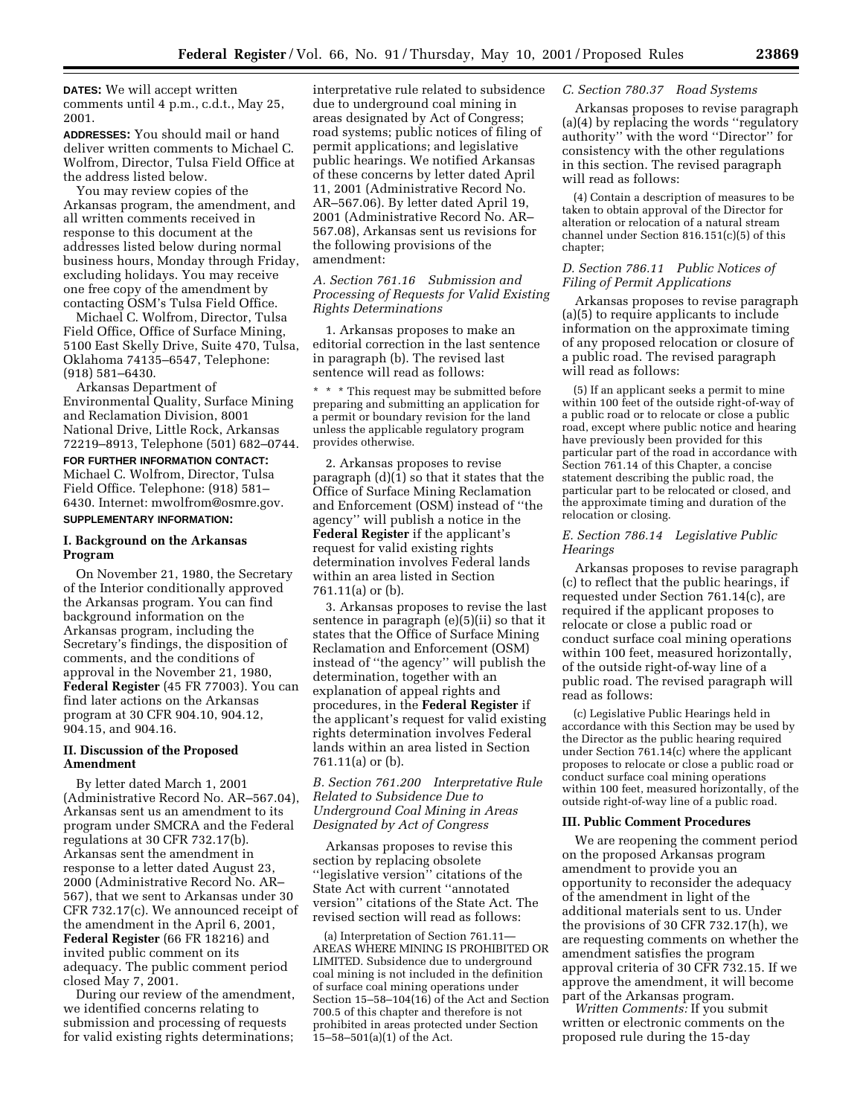**DATES:** We will accept written comments until 4 p.m., c.d.t., May 25, 2001.

**ADDRESSES:** You should mail or hand deliver written comments to Michael C. Wolfrom, Director, Tulsa Field Office at the address listed below.

You may review copies of the Arkansas program, the amendment, and all written comments received in response to this document at the addresses listed below during normal business hours, Monday through Friday, excluding holidays. You may receive one free copy of the amendment by contacting OSM's Tulsa Field Office.

Michael C. Wolfrom, Director, Tulsa Field Office, Office of Surface Mining, 5100 East Skelly Drive, Suite 470, Tulsa, Oklahoma 74135–6547, Telephone: (918) 581–6430.

Arkansas Department of Environmental Quality, Surface Mining and Reclamation Division, 8001 National Drive, Little Rock, Arkansas 72219–8913, Telephone (501) 682–0744.

# **FOR FURTHER INFORMATION CONTACT:** Michael C. Wolfrom, Director, Tulsa Field Office. Telephone: (918) 581– 6430. Internet: mwolfrom@osmre.gov. **SUPPLEMENTARY INFORMATION:**

### **I. Background on the Arkansas Program**

On November 21, 1980, the Secretary of the Interior conditionally approved the Arkansas program. You can find background information on the Arkansas program, including the Secretary's findings, the disposition of comments, and the conditions of approval in the November 21, 1980, **Federal Register** (45 FR 77003). You can find later actions on the Arkansas program at 30 CFR 904.10, 904.12, 904.15, and 904.16.

# **II. Discussion of the Proposed Amendment**

By letter dated March 1, 2001 (Administrative Record No. AR–567.04), Arkansas sent us an amendment to its program under SMCRA and the Federal regulations at 30 CFR 732.17(b). Arkansas sent the amendment in response to a letter dated August 23, 2000 (Administrative Record No. AR– 567), that we sent to Arkansas under 30 CFR 732.17(c). We announced receipt of the amendment in the April 6, 2001, **Federal Register** (66 FR 18216) and invited public comment on its adequacy. The public comment period closed May 7, 2001.

During our review of the amendment, we identified concerns relating to submission and processing of requests for valid existing rights determinations;

interpretative rule related to subsidence due to underground coal mining in areas designated by Act of Congress; road systems; public notices of filing of permit applications; and legislative public hearings. We notified Arkansas of these concerns by letter dated April 11, 2001 (Administrative Record No. AR–567.06). By letter dated April 19, 2001 (Administrative Record No. AR– 567.08), Arkansas sent us revisions for the following provisions of the amendment:

# *A. Section 761.16 Submission and Processing of Requests for Valid Existing Rights Determinations*

1. Arkansas proposes to make an editorial correction in the last sentence in paragraph (b). The revised last sentence will read as follows:

\* \* \* This request may be submitted before preparing and submitting an application for a permit or boundary revision for the land unless the applicable regulatory program provides otherwise.

2. Arkansas proposes to revise paragraph (d)(1) so that it states that the Office of Surface Mining Reclamation and Enforcement (OSM) instead of ''the agency'' will publish a notice in the **Federal Register** if the applicant's request for valid existing rights determination involves Federal lands within an area listed in Section 761.11(a) or (b).

3. Arkansas proposes to revise the last sentence in paragraph (e)(5)(ii) so that it states that the Office of Surface Mining Reclamation and Enforcement (OSM) instead of ''the agency'' will publish the determination, together with an explanation of appeal rights and procedures, in the **Federal Register** if the applicant's request for valid existing rights determination involves Federal lands within an area listed in Section 761.11(a) or (b).

# *B. Section 761.200 Interpretative Rule Related to Subsidence Due to Underground Coal Mining in Areas Designated by Act of Congress*

Arkansas proposes to revise this section by replacing obsolete ''legislative version'' citations of the State Act with current ''annotated version'' citations of the State Act. The revised section will read as follows:

(a) Interpretation of Section 761.11— AREAS WHERE MINING IS PROHIBITED OR LIMITED. Subsidence due to underground coal mining is not included in the definition of surface coal mining operations under Section 15–58–104(16) of the Act and Section 700.5 of this chapter and therefore is not prohibited in areas protected under Section  $15 - 58 - 501(a)(1)$  of the Act.

### *C. Section 780.37 Road Systems*

Arkansas proposes to revise paragraph (a)(4) by replacing the words ''regulatory authority'' with the word ''Director'' for consistency with the other regulations in this section. The revised paragraph will read as follows:

(4) Contain a description of measures to be taken to obtain approval of the Director for alteration or relocation of a natural stream channel under Section 816.151(c)(5) of this chapter;

# *D. Section 786.11 Public Notices of Filing of Permit Applications*

Arkansas proposes to revise paragraph (a)(5) to require applicants to include information on the approximate timing of any proposed relocation or closure of a public road. The revised paragraph will read as follows:

(5) If an applicant seeks a permit to mine within 100 feet of the outside right-of-way of a public road or to relocate or close a public road, except where public notice and hearing have previously been provided for this particular part of the road in accordance with Section 761.14 of this Chapter, a concise statement describing the public road, the particular part to be relocated or closed, and the approximate timing and duration of the relocation or closing.

# *E. Section 786.14 Legislative Public Hearings*

Arkansas proposes to revise paragraph (c) to reflect that the public hearings, if requested under Section 761.14(c), are required if the applicant proposes to relocate or close a public road or conduct surface coal mining operations within 100 feet, measured horizontally, of the outside right-of-way line of a public road. The revised paragraph will read as follows:

(c) Legislative Public Hearings held in accordance with this Section may be used by the Director as the public hearing required under Section 761.14(c) where the applicant proposes to relocate or close a public road or conduct surface coal mining operations within 100 feet, measured horizontally, of the outside right-of-way line of a public road.

### **III. Public Comment Procedures**

We are reopening the comment period on the proposed Arkansas program amendment to provide you an opportunity to reconsider the adequacy of the amendment in light of the additional materials sent to us. Under the provisions of 30 CFR 732.17(h), we are requesting comments on whether the amendment satisfies the program approval criteria of 30 CFR 732.15. If we approve the amendment, it will become part of the Arkansas program.

*Written Comments:* If you submit written or electronic comments on the proposed rule during the 15-day